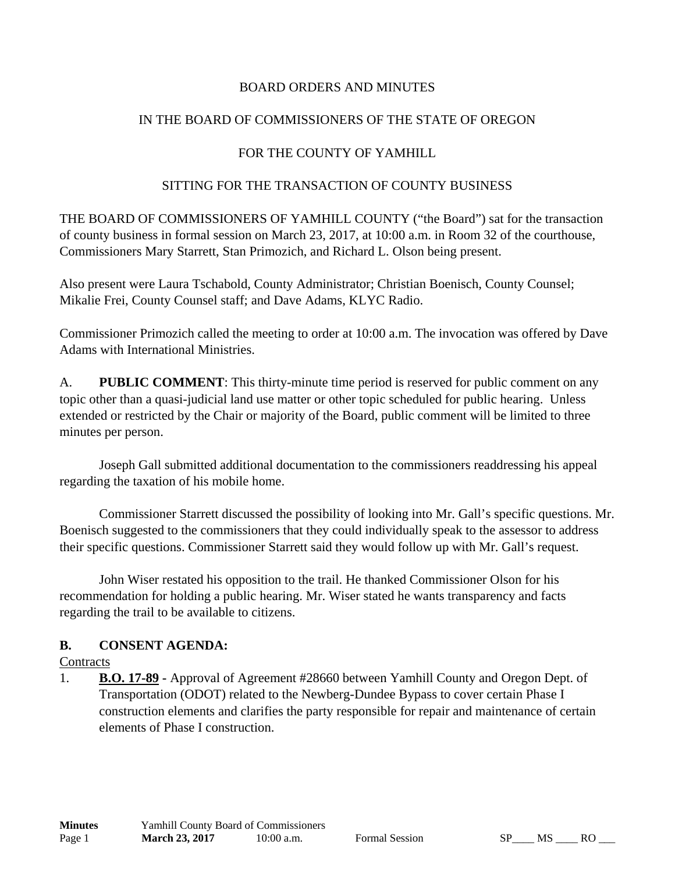### BOARD ORDERS AND MINUTES

### IN THE BOARD OF COMMISSIONERS OF THE STATE OF OREGON

### FOR THE COUNTY OF YAMHILL

### SITTING FOR THE TRANSACTION OF COUNTY BUSINESS

THE BOARD OF COMMISSIONERS OF YAMHILL COUNTY ("the Board") sat for the transaction of county business in formal session on March 23, 2017, at 10:00 a.m. in Room 32 of the courthouse, Commissioners Mary Starrett, Stan Primozich, and Richard L. Olson being present.

Also present were Laura Tschabold, County Administrator; Christian Boenisch, County Counsel; Mikalie Frei, County Counsel staff; and Dave Adams, KLYC Radio.

Commissioner Primozich called the meeting to order at 10:00 a.m. The invocation was offered by Dave Adams with International Ministries.

A. **PUBLIC COMMENT**: This thirty-minute time period is reserved for public comment on any topic other than a quasi-judicial land use matter or other topic scheduled for public hearing. Unless extended or restricted by the Chair or majority of the Board, public comment will be limited to three minutes per person.

 Joseph Gall submitted additional documentation to the commissioners readdressing his appeal regarding the taxation of his mobile home.

 Commissioner Starrett discussed the possibility of looking into Mr. Gall's specific questions. Mr. Boenisch suggested to the commissioners that they could individually speak to the assessor to address their specific questions. Commissioner Starrett said they would follow up with Mr. Gall's request.

 John Wiser restated his opposition to the trail. He thanked Commissioner Olson for his recommendation for holding a public hearing. Mr. Wiser stated he wants transparency and facts regarding the trail to be available to citizens.

# **B. CONSENT AGENDA:**

#### **Contracts**

1. **B.O. 17-89 -** Approval of Agreement #28660 between Yamhill County and Oregon Dept. of Transportation (ODOT) related to the Newberg-Dundee Bypass to cover certain Phase I construction elements and clarifies the party responsible for repair and maintenance of certain elements of Phase I construction.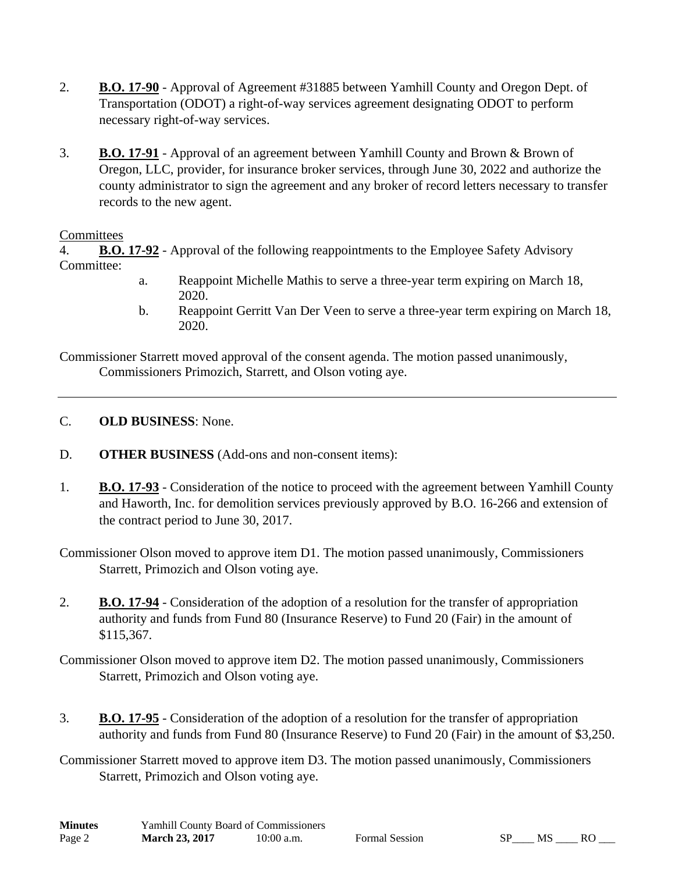- 2. **B.O. 17-90** Approval of Agreement #31885 between Yamhill County and Oregon Dept. of Transportation (ODOT) a right-of-way services agreement designating ODOT to perform necessary right-of-way services.
- 3. **B.O. 17-91** Approval of an agreement between Yamhill County and Brown & Brown of Oregon, LLC, provider, for insurance broker services, through June 30, 2022 and authorize the county administrator to sign the agreement and any broker of record letters necessary to transfer records to the new agent.

### **Committees**

4. **B.O. 17-92** - Approval of the following reappointments to the Employee Safety Advisory Committee:

- a. Reappoint Michelle Mathis to serve a three-year term expiring on March 18, 2020.
- b. Reappoint Gerritt Van Der Veen to serve a three-year term expiring on March 18, 2020.

Commissioner Starrett moved approval of the consent agenda. The motion passed unanimously, Commissioners Primozich, Starrett, and Olson voting aye.

- C. **OLD BUSINESS**: None.
- D. **OTHER BUSINESS** (Add-ons and non-consent items):
- 1. **B.O. 17-93** Consideration of the notice to proceed with the agreement between Yamhill County and Haworth, Inc. for demolition services previously approved by B.O. 16-266 and extension of the contract period to June 30, 2017.

Commissioner Olson moved to approve item D1. The motion passed unanimously, Commissioners Starrett, Primozich and Olson voting aye.

2. **B.O. 17-94** - Consideration of the adoption of a resolution for the transfer of appropriation authority and funds from Fund 80 (Insurance Reserve) to Fund 20 (Fair) in the amount of \$115,367.

Commissioner Olson moved to approve item D2. The motion passed unanimously, Commissioners Starrett, Primozich and Olson voting aye.

3. **B.O. 17-95** - Consideration of the adoption of a resolution for the transfer of appropriation authority and funds from Fund 80 (Insurance Reserve) to Fund 20 (Fair) in the amount of \$3,250.

Commissioner Starrett moved to approve item D3. The motion passed unanimously, Commissioners Starrett, Primozich and Olson voting aye.

| <b>Minutes</b> | Yamhill County Board of Commissioners |              |
|----------------|---------------------------------------|--------------|
| Page 2         | <b>March 23, 2017</b>                 | $10:00$ a.m. |